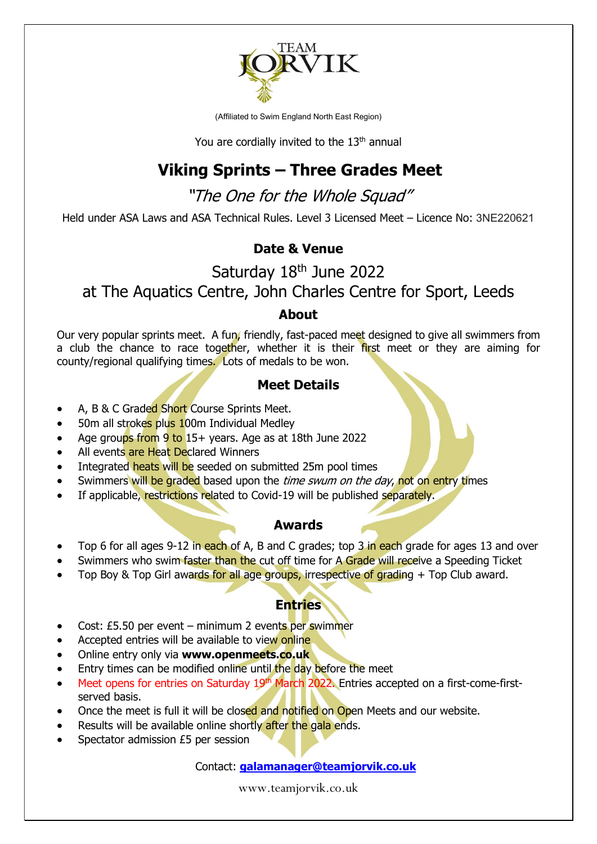

(Affiliated to Swim England North East Region)

You are cordially invited to the  $13<sup>th</sup>$  annual

## Viking Sprints – Three Grades Meet

"The One for the Whole Squad"

Held under ASA Laws and ASA Technical Rules. Level 3 Licensed Meet – Licence No: 3NE220621

#### Date & Venue

## Saturday 18<sup>th</sup> June 2022 at The Aquatics Centre, John Charles Centre for Sport, Leeds

#### About

Our very popular sprints meet. A fun, friendly, fast-paced meet designed to give all swimmers from a club the chance to race together, whether it is their first meet or they are aiming for county/regional qualifying times. Lots of medals to be won.

#### Meet Details

- A, B & C Graded Short Course Sprints Meet.
- 50m all strokes plus 100m Individual Medley
- Age groups from 9 to 15+ years. Age as at 18th June 2022
- All events are Heat Declared Winners
- Integrated heats will be seeded on submitted 25m pool times
- Swimmers will be graded based upon the *time swum on the day*, not on entry times
- If applicable, restrictions related to Covid-19 will be published separately.

#### Awards

- Top 6 for all ages 9-12 in each of A, B and C grades; top 3 in each grade for ages 13 and over
- Swimmers who swim faster than the cut off time for A Grade will receive a Speeding Ticket
- Top Boy & Top Girl awards for all age groups, irrespective of grading + Top Club award.

#### **Entries**

- Cost: £5.50 per event minimum 2 events per swimmer
- Accepted entries will be available to view online
- Online entry only via www.openmeets.co.uk
- Entry times can be modified online until the day before the meet
- Meet opens for entries on Saturday 19<sup>th</sup> March 2022. Entries accepted on a first-come-firstserved basis.
- Once the meet is full it will be closed and notified on Open Meets and our website.
- Results will be available online shortly after the gala ends.
- Spectator admission £5 per session

#### Contact: galamanager@teamjorvik.co.uk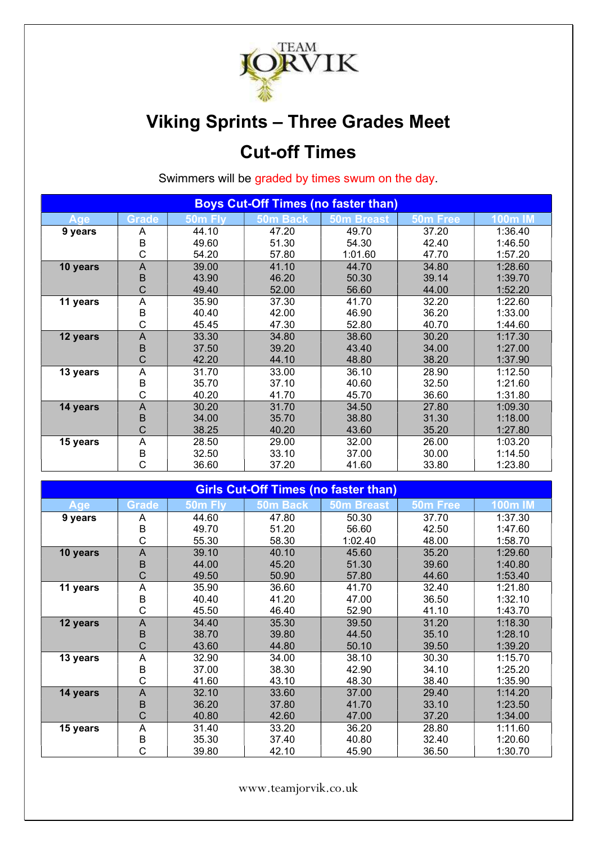

# Viking Sprints – Three Grades Meet Cut-off Times

Swimmers will be graded by times swum on the day.

| <b>Boys Cut-Off Times (no faster than)</b> |              |         |          |                   |          |                |
|--------------------------------------------|--------------|---------|----------|-------------------|----------|----------------|
| Age                                        | <b>Grade</b> | 50m Fly | 50m Back | <b>50m Breast</b> | 50m Free | <b>100m IM</b> |
| 9 years                                    | A            | 44.10   | 47.20    | 49.70             | 37.20    | 1:36.40        |
|                                            | B            | 49.60   | 51.30    | 54.30             | 42.40    | 1:46.50        |
|                                            | С            | 54.20   | 57.80    | 1:01.60           | 47.70    | 1:57.20        |
| 10 years                                   | A            | 39.00   | 41.10    | 44.70             | 34.80    | 1:28.60        |
|                                            | B            | 43.90   | 46.20    | 50.30             | 39.14    | 1:39.70        |
|                                            | С            | 49.40   | 52.00    | 56.60             | 44.00    | 1:52.20        |
| 11 years                                   | Α            | 35.90   | 37.30    | 41.70             | 32.20    | 1:22.60        |
|                                            | B            | 40.40   | 42.00    | 46.90             | 36.20    | 1:33.00        |
|                                            | Ć            | 45.45   | 47.30    | 52.80             | 40.70    | 1:44.60        |
| 12 years                                   | A            | 33.30   | 34.80    | 38.60             | 30.20    | 1:17.30        |
|                                            | B            | 37.50   | 39.20    | 43.40             | 34.00    | 1:27.00        |
|                                            | C            | 42.20   | 44.10    | 48.80             | 38.20    | 1:37.90        |
| 13 years                                   | Α            | 31.70   | 33.00    | 36.10             | 28.90    | 1:12.50        |
|                                            | B            | 35.70   | 37.10    | 40.60             | 32.50    | 1:21.60        |
|                                            | C            | 40.20   | 41.70    | 45.70             | 36.60    | 1:31.80        |
| 14 years                                   | A            | 30.20   | 31.70    | 34.50             | 27.80    | 1:09.30        |
|                                            | B            | 34.00   | 35.70    | 38.80             | 31.30    | 1:18.00        |
|                                            | С            | 38.25   | 40.20    | 43.60             | 35.20    | 1:27.80        |
| 15 years                                   | A            | 28.50   | 29.00    | 32.00             | 26.00    | 1:03.20        |
|                                            | $\mathsf B$  | 32.50   | 33.10    | 37.00             | 30.00    | 1:14.50        |
|                                            | C            | 36.60   | 37.20    | 41.60             | 33.80    | 1:23.80        |

| <b>Girls Cut-Off Times (no faster than)</b> |                |                     |          |                   |          |                |
|---------------------------------------------|----------------|---------------------|----------|-------------------|----------|----------------|
| Age                                         | <b>Grade</b>   | 50 <sub>m</sub> Fly | 50m Back | <b>50m Breast</b> | 50m Free | <b>100m IM</b> |
| 9 years                                     | A              | 44.60               | 47.80    | 50.30             | 37.70    | 1:37.30        |
|                                             | B              | 49.70               | 51.20    | 56.60             | 42.50    | 1:47.60        |
|                                             | C              | 55.30               | 58.30    | 1:02.40           | 48.00    | 1:58.70        |
| 10 years                                    | $\overline{A}$ | 39.10               | 40.10    | 45.60             | 35.20    | 1:29.60        |
|                                             | B              | 44.00               | 45.20    | 51.30             | 39.60    | 1:40.80        |
|                                             | Ć              | 49.50               | 50.90    | 57.80             | 44.60    | 1:53.40        |
| 11 years                                    | A              | 35.90               | 36.60    | 41.70             | 32.40    | 1:21.80        |
|                                             | B              | 40.40               | 41.20    | 47.00             | 36.50    | 1:32.10        |
|                                             | С              | 45.50               | 46.40    | 52.90             | 41.10    | 1:43.70        |
| 12 years                                    | $\overline{A}$ | 34.40               | 35.30    | 39.50             | 31.20    | 1:18.30        |
|                                             | B              | 38.70               | 39.80    | 44.50             | 35.10    | 1:28.10        |
|                                             | Ć              | 43.60               | 44.80    | 50.10             | 39.50    | 1:39.20        |
| 13 years                                    | Α              | 32.90               | 34.00    | 38.10             | 30.30    | 1:15.70        |
|                                             | B              | 37.00               | 38.30    | 42.90             | 34.10    | 1:25.20        |
|                                             | C              | 41.60               | 43.10    | 48.30             | 38.40    | 1:35.90        |
| 14 years                                    | A              | 32.10               | 33.60    | 37.00             | 29.40    | 1:14.20        |
|                                             | B              | 36.20               | 37.80    | 41.70             | 33.10    | 1:23.50        |
|                                             | C              | 40.80               | 42.60    | 47.00             | 37.20    | 1:34.00        |
| 15 years                                    | Α              | 31.40               | 33.20    | 36.20             | 28.80    | 1:11.60        |
|                                             | B              | 35.30               | 37.40    | 40.80             | 32.40    | 1:20.60        |
|                                             | С              | 39.80               | 42.10    | 45.90             | 36.50    | 1:30.70        |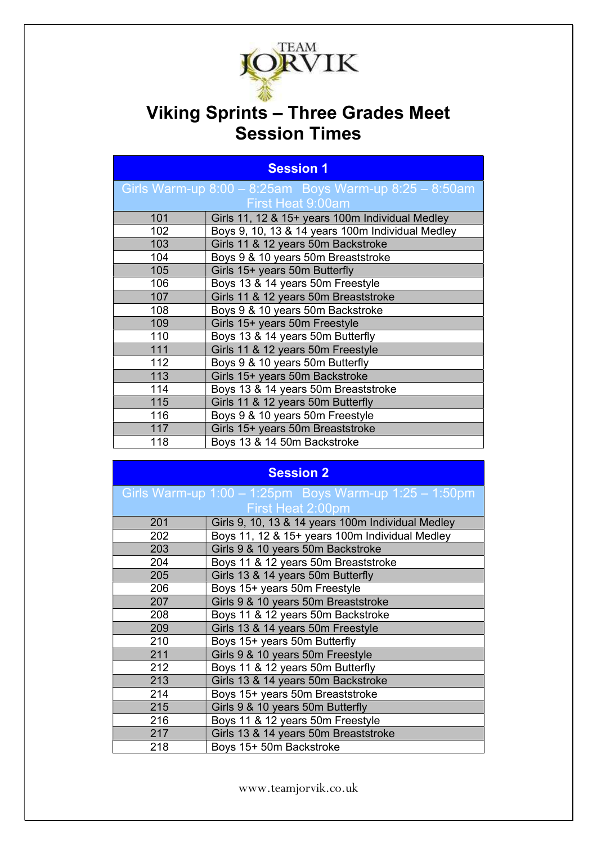

## Viking Sprints – Three Grades Meet Session Times

| <b>Session 1</b>  |                                                              |  |  |
|-------------------|--------------------------------------------------------------|--|--|
|                   | Girls Warm-up $8:00 - 8:25$ am Boys Warm-up $8:25 - 8:50$ am |  |  |
| First Heat 9:00am |                                                              |  |  |
| 101               | Girls 11, 12 & 15+ years 100m Individual Medley              |  |  |
| 102               | Boys 9, 10, 13 & 14 years 100m Individual Medley             |  |  |
| 103               | Girls 11 & 12 years 50m Backstroke                           |  |  |
| 104               | Boys 9 & 10 years 50m Breaststroke                           |  |  |
| 105               | Girls 15+ years 50m Butterfly                                |  |  |
| 106               | Boys 13 & 14 years 50m Freestyle                             |  |  |
| 107               | Girls 11 & 12 years 50m Breaststroke                         |  |  |
| 108               | Boys 9 & 10 years 50m Backstroke                             |  |  |
| 109               | Girls 15+ years 50m Freestyle                                |  |  |
| 110               | Boys 13 & 14 years 50m Butterfly                             |  |  |
| 111               | Girls 11 & 12 years 50m Freestyle                            |  |  |
| 112               | Boys 9 & 10 years 50m Butterfly                              |  |  |
| 113               | Girls 15+ years 50m Backstroke                               |  |  |
| 114               | Boys 13 & 14 years 50m Breaststroke                          |  |  |
| 115               | Girls 11 & 12 years 50m Butterfly                            |  |  |
| 116               | Boys 9 & 10 years 50m Freestyle                              |  |  |
| 117               | Girls 15+ years 50m Breaststroke                             |  |  |
| 118               | Boys 13 & 14 50m Backstroke                                  |  |  |

| session |  |
|---------|--|

|     | Girls Warm-up $1:00 - 1:25$ pm Boys Warm-up $1:25 - 1:50$ pm |
|-----|--------------------------------------------------------------|
|     | First Heat 2:00pm                                            |
| 201 | Girls 9, 10, 13 & 14 years 100m Individual Medley            |
| 202 | Boys 11, 12 & 15+ years 100m Individual Medley               |
| 203 | Girls 9 & 10 years 50m Backstroke                            |
| 204 | Boys 11 & 12 years 50m Breaststroke                          |
| 205 | Girls 13 & 14 years 50m Butterfly                            |
| 206 | Boys 15+ years 50m Freestyle                                 |
| 207 | Girls 9 & 10 years 50m Breaststroke                          |
| 208 | Boys 11 & 12 years 50m Backstroke                            |
| 209 | Girls 13 & 14 years 50m Freestyle                            |
| 210 | Boys 15+ years 50m Butterfly                                 |
| 211 | Girls 9 & 10 years 50m Freestyle                             |
| 212 | Boys 11 & 12 years 50m Butterfly                             |
| 213 | Girls 13 & 14 years 50m Backstroke                           |
| 214 | Boys 15+ years 50m Breaststroke                              |
| 215 | Girls 9 & 10 years 50m Butterfly                             |
| 216 | Boys 11 & 12 years 50m Freestyle                             |
| 217 | Girls 13 & 14 years 50m Breaststroke                         |
| 218 | Boys 15+ 50m Backstroke                                      |